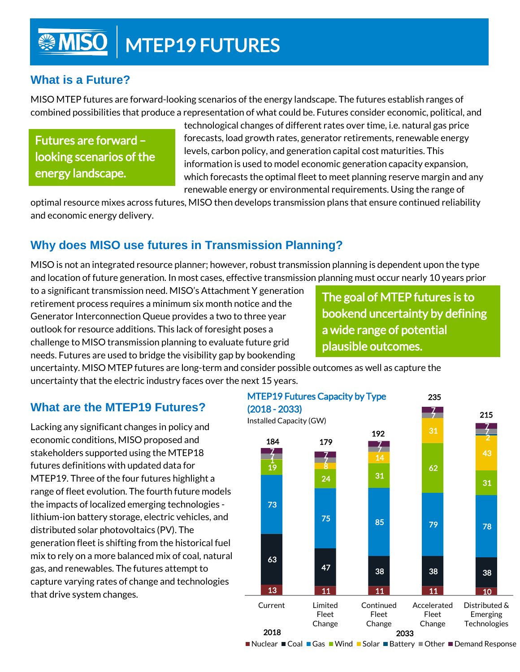# **MISO | MTEP19 FUTURES**

#### **What is a Future?**

MISO MTEP futures are forward-looking scenarios of the energy landscape. The futures establish ranges of combined possibilities that produce a representation of what could be. Futures consider economic, political, and

Futures are forward – looking scenarios of the energy landscape.

technological changes of different rates over time, i.e. natural gas price forecasts, load growth rates, generator retirements, renewable energy levels, carbon policy, and generation capital cost maturities. This information is used to model economic generation capacity expansion, which forecasts the optimal fleet to meet planning reserve margin and any renewable energy or environmental requirements. Using the range of

optimal resource mixes across futures, MISO then develops transmission plans that ensure continued reliability and economic energy delivery.

#### **Why does MISO use futures in Transmission Planning?**

MISO is not an integrated resource planner; however, robust transmission planning is dependent upon the type and location of future generation. In most cases, effective transmission planning must occur nearly 10 years prior

to a significant transmission need. MISO's Attachment Y generation retirement process requires a minimum six month notice and the Generator Interconnection Queue provides a two to three year outlook for resource additions. This lack of foresight poses a challenge to MISO transmission planning to evaluate future grid needs. Futures are used to bridge the visibility gap by bookending

The goal of MTEP futures is to bookend uncertainty by defining a wide range of potential plausible outcomes.

uncertainty. MISO MTEP futures are long-term and consider possible outcomes as well as capture the uncertainty that the electric industry faces over the next 15 years.

#### **What are the MTEP19 Futures?**

Lacking any significant changes in policy and economic conditions, MISO proposed and stakeholders supported using the MTEP18 futures definitions with updated data for MTEP19. Three of the four futures highlight a range of fleet evolution. The fourth future models the impacts of localized emerging technologies lithium-ion battery storage, electric vehicles, and distributed solar photovoltaics (PV). The generation fleet is shifting from the historical fuel mix to rely on a more balanced mix of coal, natural gas, and renewables. The futures attempt to capture varying rates of change and technologies that drive system changes.



■ Nuclear ■ Coal ■ Gas ■ Wind ■ Solar ■ Battery ■ Other ■ Demand Response